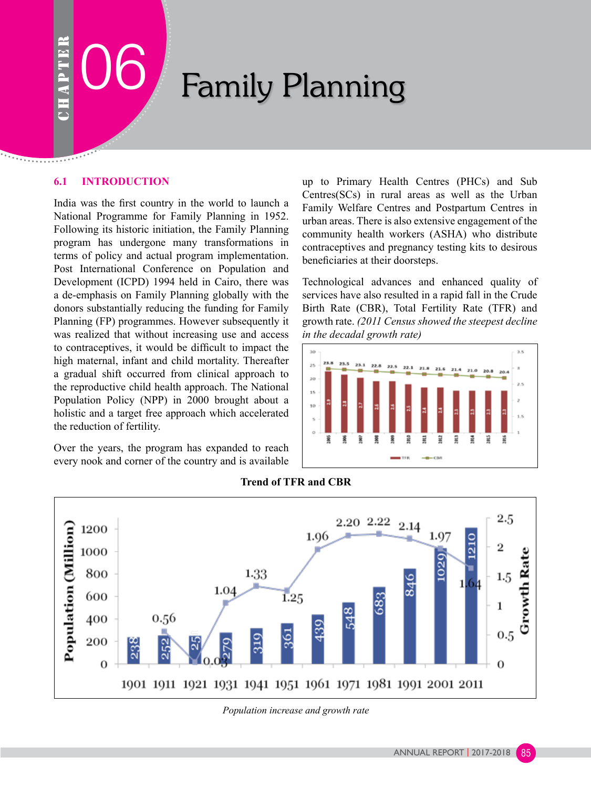# Family Planning

# **6.1 INTRODUCTION**

India was the first country in the world to launch a National Programme for Family Planning in 1952. Following its historic initiation, the Family Planning program has undergone many transformations in terms of policy and actual program implementation. Post International Conference on Population and Development (ICPD) 1994 held in Cairo, there was a de-emphasis on Family Planning globally with the donors substantially reducing the funding for Family Planning (FP) programmes. However subsequently it was realized that without increasing use and access to contraceptives, it would be difficult to impact the high maternal, infant and child mortality. Thereafter a gradual shift occurred from clinical approach to the reproductive child health approach. The National Population Policy (NPP) in 2000 brought about a holistic and a target free approach which accelerated the reduction of fertility.

Over the years, the program has expanded to reach every nook and corner of the country and is available up to Primary Health Centres (PHCs) and Sub Centres(SCs) in rural areas as well as the Urban Family Welfare Centres and Postpartum Centres in urban areas. There is also extensive engagement of the community health workers (ASHA) who distribute contraceptives and pregnancy testing kits to desirous beneficiaries at their doorsteps.

Technological advances and enhanced quality of services have also resulted in a rapid fall in the Crude Birth Rate (CBR), Total Fertility Rate (TFR) and growth rate. *(2011 Census showed the steepest decline in the decadal growth rate)* 





**Trend of TFR and CBR**

*Population increase and growth rate*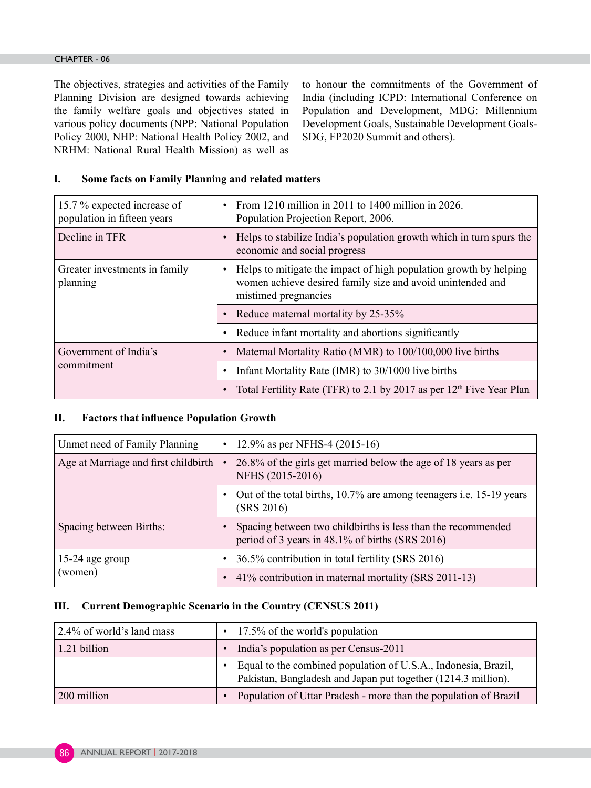#### CHAPTER - 06

The objectives, strategies and activities of the Family Planning Division are designed towards achieving the family welfare goals and objectives stated in various policy documents (NPP: National Population Policy 2000, NHP: National Health Policy 2002, and NRHM: National Rural Health Mission) as well as to honour the commitments of the Government of India (including ICPD: International Conference on Population and Development, MDG: Millennium Development Goals, Sustainable Development Goals-SDG, FP2020 Summit and others).

# **I. Some facts on Family Planning and related matters**

| 15.7 % expected increase of<br>population in fifteen years | From 1210 million in 2011 to 1400 million in 2026.<br>Population Projection Report, 2006.                                                                            |
|------------------------------------------------------------|----------------------------------------------------------------------------------------------------------------------------------------------------------------------|
| Decline in TFR                                             | Helps to stabilize India's population growth which in turn spurs the<br>economic and social progress                                                                 |
| Greater investments in family<br>planning                  | Helps to mitigate the impact of high population growth by helping<br>$\bullet$<br>women achieve desired family size and avoid unintended and<br>mistimed pregnancies |
|                                                            | Reduce maternal mortality by 25-35%                                                                                                                                  |
|                                                            | Reduce infant mortality and abortions significantly                                                                                                                  |
| Government of India's                                      | Maternal Mortality Ratio (MMR) to 100/100,000 live births                                                                                                            |
| commitment                                                 | Infant Mortality Rate (IMR) to 30/1000 live births                                                                                                                   |
|                                                            | Total Fertility Rate (TFR) to 2.1 by 2017 as per 12 <sup>th</sup> Five Year Plan                                                                                     |

#### **II. Factors that influence Population Growth**

| Unmet need of Family Planning        | 12.9% as per NFHS-4 $(2015-16)$<br>$\bullet$                                                                     |  |
|--------------------------------------|------------------------------------------------------------------------------------------------------------------|--|
| Age at Marriage and first childbirth | 26.8% of the girls get married below the age of 18 years as per<br>$\bullet$<br>NFHS (2015-2016)                 |  |
|                                      | Out of the total births, 10.7% are among teenagers <i>i.e.</i> 15-19 years<br>(SRS 2016)                         |  |
| Spacing between Births:              | Spacing between two child births is less than the recommended<br>period of 3 years in 48.1% of births (SRS 2016) |  |
| 15-24 age group                      | 36.5% contribution in total fertility (SRS 2016)<br>$\bullet$                                                    |  |
| (women)                              | 41% contribution in maternal mortality (SRS 2011-13)                                                             |  |

#### **III. Current Demographic Scenario in the Country (CENSUS 2011)**

| 2.4% of world's land mass | $\cdot$ 17.5% of the world's population                                                                                                      |
|---------------------------|----------------------------------------------------------------------------------------------------------------------------------------------|
| 1.21 billion              | India's population as per Census-2011<br>$\bullet$                                                                                           |
|                           | Equal to the combined population of U.S.A., Indonesia, Brazil,<br>$\bullet$<br>Pakistan, Bangladesh and Japan put together (1214.3 million). |
| 200 million               | Population of Uttar Pradesh - more than the population of Brazil<br>$\bullet$                                                                |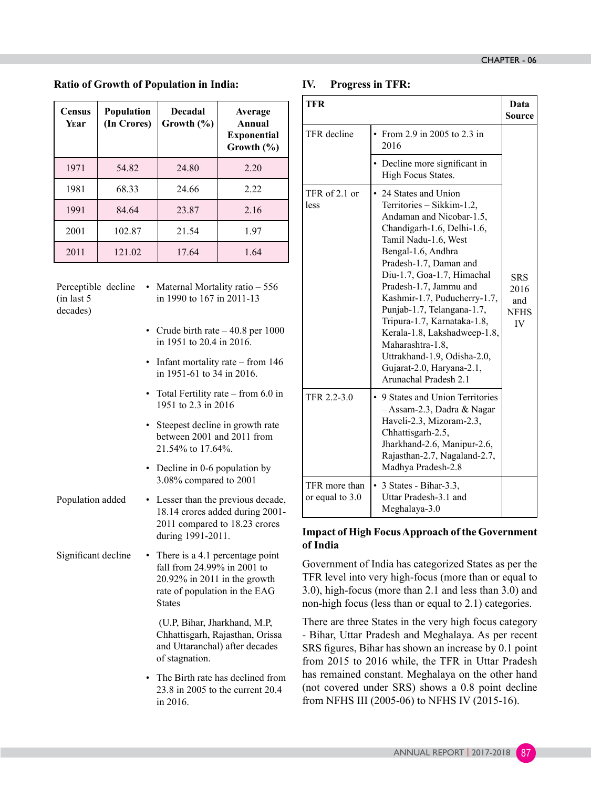**Ratio of Growth of Population in India:**

| <b>Census</b><br>Year | <b>Population</b><br>(In Crores) | <b>Decadal</b><br>Growth $(\% )$ | Average<br>Annual<br><b>Exponential</b><br>Growth $(\% )$ |
|-----------------------|----------------------------------|----------------------------------|-----------------------------------------------------------|
| 1971                  | 54.82                            | 24.80                            | 2.20                                                      |
| 1981                  | 68.33                            | 24.66                            | 2.22                                                      |
| 1991                  | 84.64                            | 23.87                            | 2.16                                                      |
| 2001                  | 102.87                           | 21.54                            | 1.97                                                      |
| 2011                  | 121.02                           | 17.64                            | 1.64                                                      |

(in last 5 decades)

- Perceptible decline Maternal Mortality ratio 556 in 1990 to 167 in 2011-13
	- Crude birth rate 40.8 per 1000 in 1951 to 20.4 in 2016.
	- Infant mortality rate from 146 in 1951-61 to 34 in 2016.
	- Total Fertility rate from 6.0 in 1951 to 2.3 in 2016
	- Steepest decline in growth rate between 2001 and 2011 from 21.54% to 17.64%.
	- Decline in 0-6 population by 3.08% compared to 2001
- Population added Lesser than the previous decade, 18.14 crores added during 2001- 2011 compared to 18.23 crores during 1991-2011.
- Significant decline There is a 4.1 percentage point fall from 24.99% in 2001 to 20.92% in 2011 in the growth rate of population in the EAG States

 (U.P, Bihar, Jharkhand, M.P, Chhattisgarh, Rajasthan, Orissa and Uttaranchal) after decades of stagnation.

• The Birth rate has declined from 23.8 in 2005 to the current 20.4 in 2016.

# **IV. Progress in TFR:**

| <b>TFR</b>                       |                                                                                                                                                                                                                                                                                                                                                                                                                                                                                    | Data<br><b>Source</b>                                 |
|----------------------------------|------------------------------------------------------------------------------------------------------------------------------------------------------------------------------------------------------------------------------------------------------------------------------------------------------------------------------------------------------------------------------------------------------------------------------------------------------------------------------------|-------------------------------------------------------|
| TFR decline                      | From 2.9 in 2005 to 2.3 in<br>$\bullet$<br>2016                                                                                                                                                                                                                                                                                                                                                                                                                                    |                                                       |
|                                  | • Decline more significant in<br>High Focus States.                                                                                                                                                                                                                                                                                                                                                                                                                                |                                                       |
| TFR of 2.1 or<br>less            | • 24 States and Union<br>Territories - Sikkim-1.2,<br>Andaman and Nicobar-1.5,<br>Chandigarh-1.6, Delhi-1.6,<br>Tamil Nadu-1.6, West<br>Bengal-1.6, Andhra<br>Pradesh-1.7, Daman and<br>Diu-1.7, Goa-1.7, Himachal<br>Pradesh-1.7, Jammu and<br>Kashmir-1.7, Puducherry-1.7,<br>Punjab-1.7, Telangana-1.7,<br>Tripura-1.7, Karnataka-1.8,<br>Kerala-1.8, Lakshadweep-1.8,<br>Maharashtra-1.8,<br>Uttrakhand-1.9, Odisha-2.0,<br>Gujarat-2.0, Haryana-2.1,<br>Arunachal Pradesh 2.1 | <b>SRS</b><br>2016<br>and<br><b>NFHS</b><br><b>IV</b> |
| TFR 2.2-3.0                      | • 9 States and Union Territories<br>- Assam-2.3, Dadra & Nagar<br>Haveli-2.3, Mizoram-2.3,<br>Chhattisgarh-2.5,<br>Jharkhand-2.6, Manipur-2.6,<br>Rajasthan-2.7, Nagaland-2.7,<br>Madhya Pradesh-2.8                                                                                                                                                                                                                                                                               |                                                       |
| TFR more than<br>or equal to 3.0 | 3 States - Bihar-3.3,<br>$\bullet$<br>Uttar Pradesh-3.1 and<br>Meghalaya-3.0                                                                                                                                                                                                                                                                                                                                                                                                       |                                                       |

# **Impact of High FocusApproach of the Government of India**

Government of India has categorized States as per the TFR level into very high-focus (more than or equal to 3.0), high-focus (more than 2.1 and less than 3.0) and non-high focus (less than or equal to 2.1) categories.

There are three States in the very high focus category - Bihar, Uttar Pradesh and Meghalaya. As per recent SRS figures, Bihar has shown an increase by 0.1 point from 2015 to 2016 while, the TFR in Uttar Pradesh has remained constant. Meghalaya on the other hand (not covered under SRS) shows a 0.8 point decline from NFHS III (2005-06) to NFHS IV (2015-16).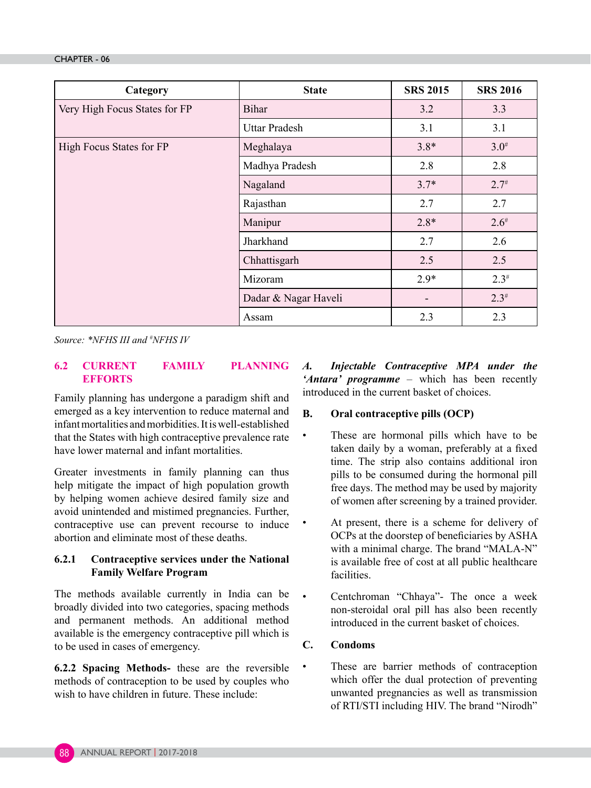| Category                      | <b>State</b>         | <b>SRS 2015</b>          | <b>SRS 2016</b> |
|-------------------------------|----------------------|--------------------------|-----------------|
| Very High Focus States for FP | <b>Bihar</b>         | 3.2                      | 3.3             |
|                               | <b>Uttar Pradesh</b> | 3.1                      | 3.1             |
| High Focus States for FP      | Meghalaya            | $3.8*$                   | $3.0^{#}$       |
|                               | Madhya Pradesh       | 2.8                      | 2.8             |
|                               | Nagaland             | $3.7*$                   | $2.7^{#}$       |
|                               | Rajasthan            | 2.7                      | 2.7             |
|                               | Manipur              | $2.8*$                   | $2.6^{#}$       |
|                               | Jharkhand            |                          | 2.6             |
|                               | Chhattisgarh         | 2.5                      | 2.5             |
|                               | Mizoram              | $2.9*$                   | $2.3^{#}$       |
|                               | Dadar & Nagar Haveli | $\overline{\phantom{a}}$ | $2.3^{\#}$      |
|                               | Assam                | 2.3                      | 2.3             |

*Source: \*NFHS III and # NFHS IV*

### **6.2 CURRENT FAMILY PLANNING EFFORTS**

Family planning has undergone a paradigm shift and emerged as a key intervention to reduce maternal and infant mortalities and morbidities. It is well-established that the States with high contraceptive prevalence rate have lower maternal and infant mortalities.

Greater investments in family planning can thus help mitigate the impact of high population growth by helping women achieve desired family size and avoid unintended and mistimed pregnancies. Further, contraceptive use can prevent recourse to induce abortion and eliminate most of these deaths.

# **6.2.1 Contraceptive services under the National Family Welfare Program**

The methods available currently in India can be broadly divided into two categories, spacing methods and permanent methods. An additional method available is the emergency contraceptive pill which is to be used in cases of emergency.

**6.2.2 Spacing Methods-** these are the reversible methods of contraception to be used by couples who wish to have children in future. These include:

*A. Injectable Contraceptive MPA under the 'Antara' programme* – which has been recently introduced in the current basket of choices.

# **B. Oral contraceptive pills (OCP)**

- These are hormonal pills which have to be taken daily by a woman, preferably at a fixed time. The strip also contains additional iron pills to be consumed during the hormonal pill free days. The method may be used by majority of women after screening by a trained provider.
- At present, there is a scheme for delivery of OCPs at the doorstep of beneficiaries by ASHA with a minimal charge. The brand "MALA-N" is available free of cost at all public healthcare facilities.
- Centchroman "Chhaya"- The once a week non-steroidal oral pill has also been recently introduced in the current basket of choices.

# **C. Condoms**

• These are barrier methods of contraception which offer the dual protection of preventing unwanted pregnancies as well as transmission of RTI/STI including HIV. The brand "Nirodh"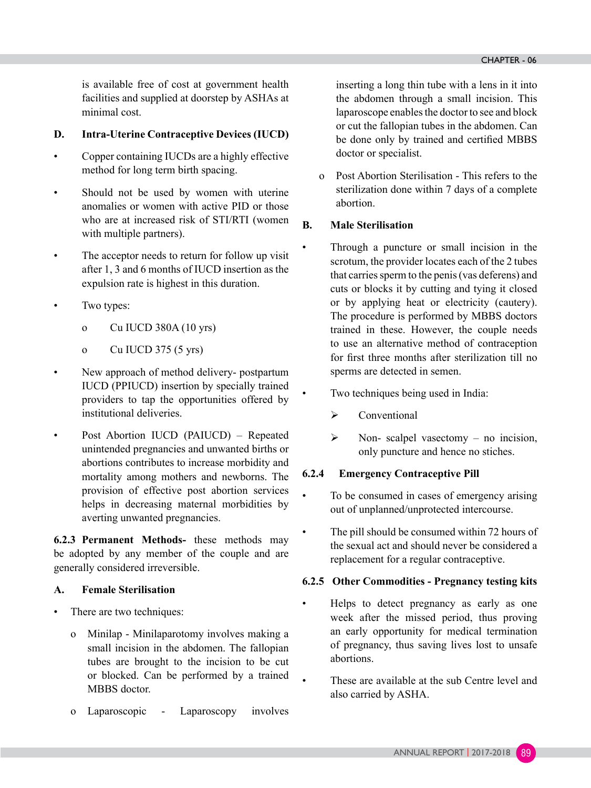is available free of cost at government health facilities and supplied at doorstep by ASHAs at minimal cost.

# **D. Intra-Uterine Contraceptive Devices (IUCD)**

- Copper containing IUCDs are a highly effective method for long term birth spacing.
- Should not be used by women with uterine anomalies or women with active PID or those who are at increased risk of STI/RTI (women with multiple partners).
- The acceptor needs to return for follow up visit after 1, 3 and 6 months of IUCD insertion as the expulsion rate is highest in this duration.
- Two types:
	- o Cu IUCD 380A (10 yrs)
	- o Cu IUCD 375 (5 yrs)
- New approach of method delivery- postpartum IUCD (PPIUCD) insertion by specially trained providers to tap the opportunities offered by institutional deliveries.
- Post Abortion IUCD (PAIUCD) Repeated unintended pregnancies and unwanted births or abortions contributes to increase morbidity and mortality among mothers and newborns. The provision of effective post abortion services helps in decreasing maternal morbidities by averting unwanted pregnancies.

**6.2.3 Permanent Methods-** these methods may be adopted by any member of the couple and are generally considered irreversible.

# **A. Female Sterilisation**

- There are two techniques:
	- o Minilap Minilaparotomy involves making a small incision in the abdomen. The fallopian tubes are brought to the incision to be cut or blocked. Can be performed by a trained MBBS doctor.
	- o Laparoscopic Laparoscopy involves

inserting a long thin tube with a lens in it into the abdomen through a small incision. This laparoscope enables the doctor to see and block or cut the fallopian tubes in the abdomen. Can be done only by trained and certified MBBS doctor or specialist.

o Post Abortion Sterilisation - This refers to the sterilization done within 7 days of a complete abortion.

# **B. Male Sterilisation**

- Through a puncture or small incision in the scrotum, the provider locates each of the 2 tubes that carries sperm to the penis (vas deferens) and cuts or blocks it by cutting and tying it closed or by applying heat or electricity (cautery). The procedure is performed by MBBS doctors trained in these. However, the couple needs to use an alternative method of contraception for first three months after sterilization till no sperms are detected in semen.
- Two techniques being used in India:
	- $\triangleright$  Conventional
	- $\triangleright$  Non- scalpel vasectomy no incision, only puncture and hence no stiches.

# **6.2.4 Emergency Contraceptive Pill**

- To be consumed in cases of emergency arising out of unplanned/unprotected intercourse.
- The pill should be consumed within 72 hours of the sexual act and should never be considered a replacement for a regular contraceptive.

# **6.2.5 Other Commodities - Pregnancy testing kits**

- Helps to detect pregnancy as early as one week after the missed period, thus proving an early opportunity for medical termination of pregnancy, thus saving lives lost to unsafe abortions.
	- These are available at the sub Centre level and also carried by ASHA.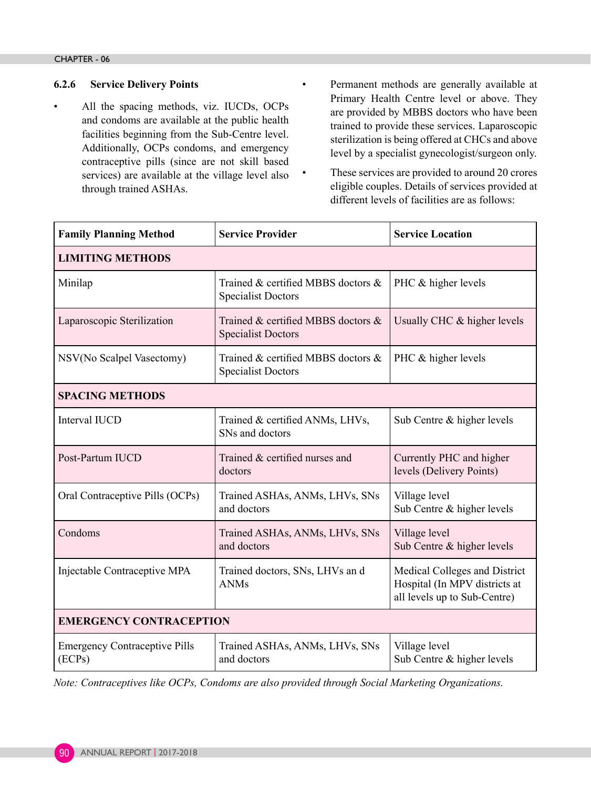# **6.2.6 Service Delivery Points**

- All the spacing methods, viz. IUCDs, OCPs and condoms are available at the public health facilities beginning from the Sub-Centre level. Additionally, OCPs condoms, and emergency contraceptive pills (since are not skill based services) are available at the village level also through trained ASHAs.
- Permanent methods are generally available at Primary Health Centre level or above. They are provided by MBBS doctors who have been trained to provide these services. Laparoscopic sterilization is being offered at CHCs and above level by a specialist gynecologist/surgeon only.
	- These services are provided to around 20 crores eligible couples. Details of services provided at different levels of facilities are as follows:

| <b>Family Planning Method</b>                  | <b>Service Provider</b><br><b>Service Location</b>              |                                                                                                |  |  |  |  |
|------------------------------------------------|-----------------------------------------------------------------|------------------------------------------------------------------------------------------------|--|--|--|--|
| <b>LIMITING METHODS</b>                        |                                                                 |                                                                                                |  |  |  |  |
| Minilap                                        | Trained & certified MBBS doctors &<br><b>Specialist Doctors</b> | PHC & higher levels                                                                            |  |  |  |  |
| Laparoscopic Sterilization                     | Trained & certified MBBS doctors &<br><b>Specialist Doctors</b> | Usually CHC & higher levels                                                                    |  |  |  |  |
| NSV(No Scalpel Vasectomy)                      | Trained & certified MBBS doctors &<br><b>Specialist Doctors</b> | PHC & higher levels                                                                            |  |  |  |  |
| <b>SPACING METHODS</b>                         |                                                                 |                                                                                                |  |  |  |  |
| Interval IUCD                                  | Trained & certified ANMs, LHVs,<br>SNs and doctors              | Sub Centre & higher levels                                                                     |  |  |  |  |
| Post-Partum IUCD                               | Trained & certified nurses and<br>doctors                       | Currently PHC and higher<br>levels (Delivery Points)                                           |  |  |  |  |
| Oral Contraceptive Pills (OCPs)                | Trained ASHAs, ANMs, LHVs, SNs<br>and doctors                   | Village level<br>Sub Centre & higher levels                                                    |  |  |  |  |
| Condoms                                        | Trained ASHAs, ANMs, LHVs, SNs<br>and doctors                   | Village level<br>Sub Centre & higher levels                                                    |  |  |  |  |
| Injectable Contraceptive MPA                   | Trained doctors, SNs, LHVs and<br><b>ANMs</b>                   | Medical Colleges and District<br>Hospital (In MPV districts at<br>all levels up to Sub-Centre) |  |  |  |  |
| <b>EMERGENCY CONTRACEPTION</b>                 |                                                                 |                                                                                                |  |  |  |  |
| <b>Emergency Contraceptive Pills</b><br>(ECPs) | Trained ASHAs, ANMs, LHVs, SNs<br>and doctors                   | Village level<br>Sub Centre & higher levels                                                    |  |  |  |  |

*Note: Contraceptives like OCPs, Condoms are also provided through Social Marketing Organizations.*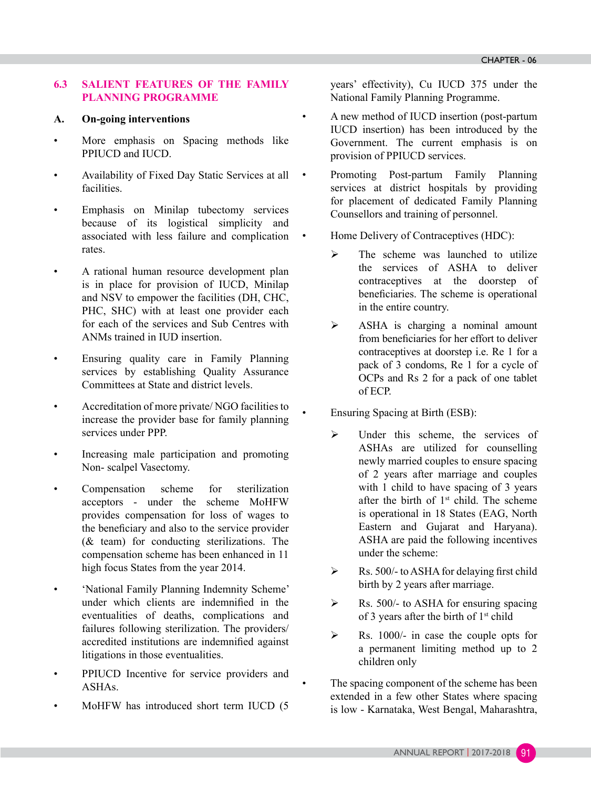# **6.3 SALIENT FEATURES OF THE FAMILY PLANNING PROGRAMME**

#### **A. On-going interventions**

- More emphasis on Spacing methods like PPIUCD and IUCD.
- Availability of Fixed Day Static Services at all facilities.
- Emphasis on Minilap tubectomy services because of its logistical simplicity and associated with less failure and complication rates.
- A rational human resource development plan is in place for provision of IUCD, Minilap and NSV to empower the facilities (DH, CHC, PHC, SHC) with at least one provider each for each of the services and Sub Centres with ANMs trained in IUD insertion.
- Ensuring quality care in Family Planning services by establishing Quality Assurance Committees at State and district levels.
- Accreditation of more private/ NGO facilities to increase the provider base for family planning services under PPP.
- Increasing male participation and promoting Non- scalpel Vasectomy.
- Compensation scheme for sterilization acceptors - under the scheme MoHFW provides compensation for loss of wages to the beneficiary and also to the service provider (& team) for conducting sterilizations. The compensation scheme has been enhanced in 11 high focus States from the year 2014.
- 'National Family Planning Indemnity Scheme' under which clients are indemnified in the eventualities of deaths, complications and failures following sterilization. The providers/ accredited institutions are indemnified against litigations in those eventualities.
- PPIUCD Incentive for service providers and ASHAs.
- MoHFW has introduced short term IUCD (5

years' effectivity), Cu IUCD 375 under the National Family Planning Programme.

- A new method of IUCD insertion (post-partum IUCD insertion) has been introduced by the Government. The current emphasis is on provision of PPIUCD services.
- Promoting Post-partum Family Planning services at district hospitals by providing for placement of dedicated Family Planning Counsellors and training of personnel.
	- Home Delivery of Contraceptives (HDC):
		- $\triangleright$  The scheme was launched to utilize the services of ASHA to deliver contraceptives at the doorstep of beneficiaries. The scheme is operational in the entire country.
		- $\triangleright$  ASHA is charging a nominal amount from beneficiaries for her effort to deliver contraceptives at doorstep i.e. Re 1 for a pack of 3 condoms, Re 1 for a cycle of OCPs and Rs 2 for a pack of one tablet of ECP.

• Ensuring Spacing at Birth (ESB):

- ¾ Under this scheme, the services of ASHAs are utilized for counselling newly married couples to ensure spacing of 2 years after marriage and couples with 1 child to have spacing of 3 years after the birth of  $1<sup>st</sup>$  child. The scheme is operational in 18 States (EAG, North Eastern and Gujarat and Haryana). ASHA are paid the following incentives under the scheme:
- $\triangleright$  Rs. 500/- to ASHA for delaying first child birth by 2 years after marriage.
- $\triangleright$  Rs. 500/- to ASHA for ensuring spacing of 3 years after the birth of  $1<sup>st</sup>$  child
- $\triangleright$  Rs. 1000/- in case the couple opts for a permanent limiting method up to 2 children only

The spacing component of the scheme has been extended in a few other States where spacing is low - Karnataka, West Bengal, Maharashtra,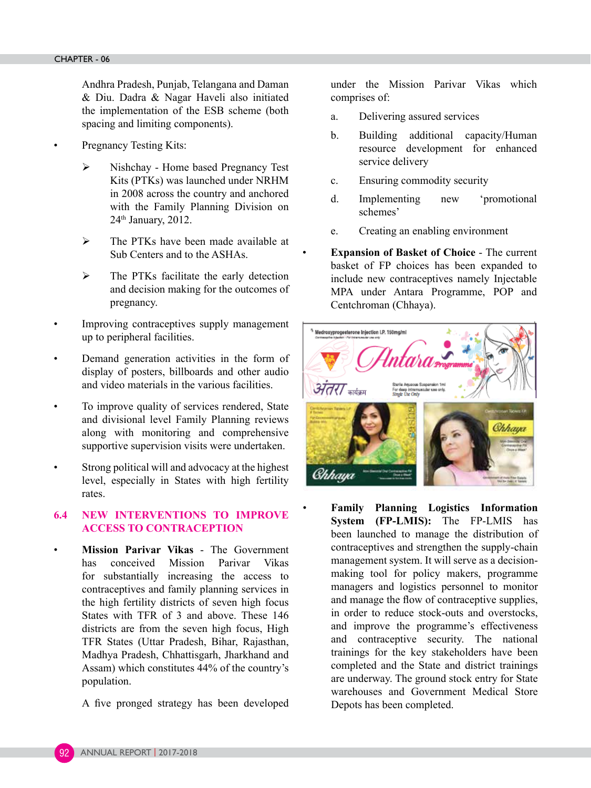Andhra Pradesh, Punjab, Telangana and Daman & Diu. Dadra & Nagar Haveli also initiated the implementation of the ESB scheme (both spacing and limiting components).

- Pregnancy Testing Kits:
- ¾ Nishchay Home based Pregnancy Test Kits (PTKs) was launched under NRHM in 2008 across the country and anchored with the Family Planning Division on 24th January, 2012.
- ¾ The PTKs have been made available at Sub Centers and to the ASHAs.
- $\triangleright$  The PTKs facilitate the early detection and decision making for the outcomes of pregnancy.
- Improving contraceptives supply management up to peripheral facilities.
- Demand generation activities in the form of display of posters, billboards and other audio and video materials in the various facilities.
- To improve quality of services rendered, State and divisional level Family Planning reviews along with monitoring and comprehensive supportive supervision visits were undertaken.
- Strong political will and advocacy at the highest level, especially in States with high fertility rates.

# **6.4 NEW INTERVENTIONS TO IMPROVE ACCESS TO CONTRACEPTION**

- **Mission Parivar Vikas** The Government has conceived Mission Parivar Vikas for substantially increasing the access to contraceptives and family planning services in the high fertility districts of seven high focus States with TFR of 3 and above. These 146 districts are from the seven high focus, High TFR States (Uttar Pradesh, Bihar, Rajasthan, Madhya Pradesh, Chhattisgarh, Jharkhand and Assam) which constitutes 44% of the country's population.
	- A five pronged strategy has been developed

under the Mission Parivar Vikas which comprises of:

- a. Delivering assured services
- b. Building additional capacity/Human resource development for enhanced service delivery
- c. Ensuring commodity security
- d. Implementing new 'promotional schemes'
- e. Creating an enabling environment
- **Expansion of Basket of Choice** The current basket of FP choices has been expanded to include new contraceptives namely Injectable MPA under Antara Programme, POP and Centchroman (Chhaya).



• **Family Planning Logistics Information System (FP-LMIS):** The FP-LMIS has been launched to manage the distribution of contraceptives and strengthen the supply-chain management system. It will serve as a decisionmaking tool for policy makers, programme managers and logistics personnel to monitor and manage the flow of contraceptive supplies, in order to reduce stock-outs and overstocks, and improve the programme's effectiveness and contraceptive security. The national trainings for the key stakeholders have been completed and the State and district trainings are underway. The ground stock entry for State warehouses and Government Medical Store Depots has been completed.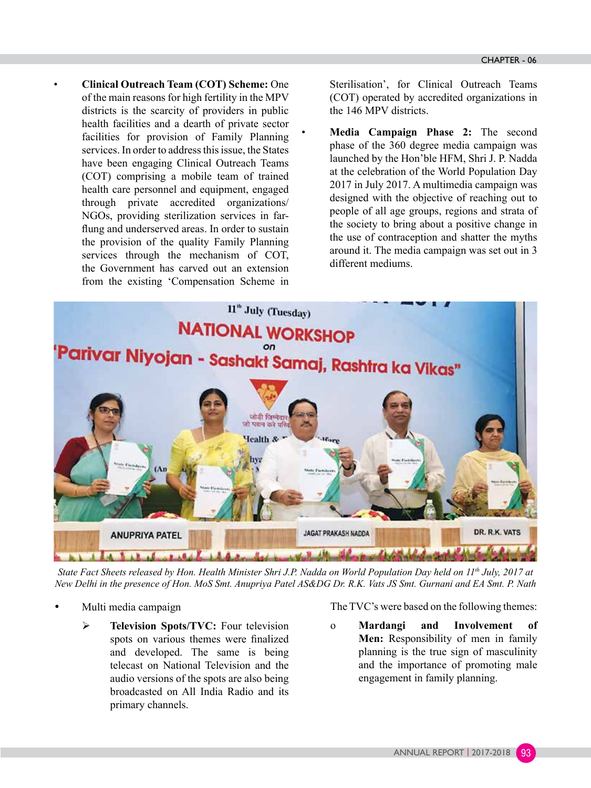• **Clinical Outreach Team (COT) Scheme:** One of the main reasons for high fertility in the MPV districts is the scarcity of providers in public health facilities and a dearth of private sector facilities for provision of Family Planning services. In order to address this issue, the States have been engaging Clinical Outreach Teams (COT) comprising a mobile team of trained health care personnel and equipment, engaged through private accredited organizations/ NGOs, providing sterilization services in farflung and underserved areas. In order to sustain the provision of the quality Family Planning services through the mechanism of COT, the Government has carved out an extension from the existing 'Compensation Scheme in

Sterilisation', for Clinical Outreach Teams (COT) operated by accredited organizations in the 146 MPV districts.

• **Media Campaign Phase 2:** The second phase of the 360 degree media campaign was launched by the Hon'ble HFM, Shri J. P. Nadda at the celebration of the World Population Day 2017 in July 2017. A multimedia campaign was designed with the objective of reaching out to people of all age groups, regions and strata of the society to bring about a positive change in the use of contraception and shatter the myths around it. The media campaign was set out in 3 different mediums.



*State Fact Sheets released by Hon. Health Minister Shri J.P. Nadda on World Population Day held on 11th July, 2017 at New Delhi in the presence of Hon. MoS Smt. Anupriya Patel AS&DG Dr. R.K. Vats JS Smt. Gurnani and EA Smt. P. Nath*

- Multi media campaign
	- ¾ **Television Spots/TVC:** Four television spots on various themes were finalized and developed. The same is being telecast on National Television and the audio versions of the spots are also being broadcasted on All India Radio and its primary channels.

The TVC's were based on the following themes:

o **Mardangi and Involvement of Men:** Responsibility of men in family planning is the true sign of masculinity and the importance of promoting male engagement in family planning.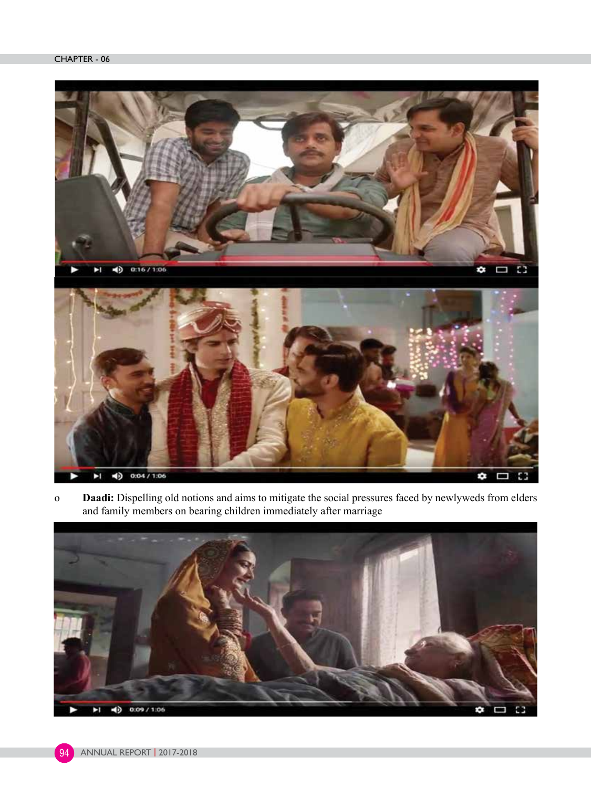

o **Daadi:** Dispelling old notions and aims to mitigate the social pressures faced by newlyweds from elders and family members on bearing children immediately after marriage



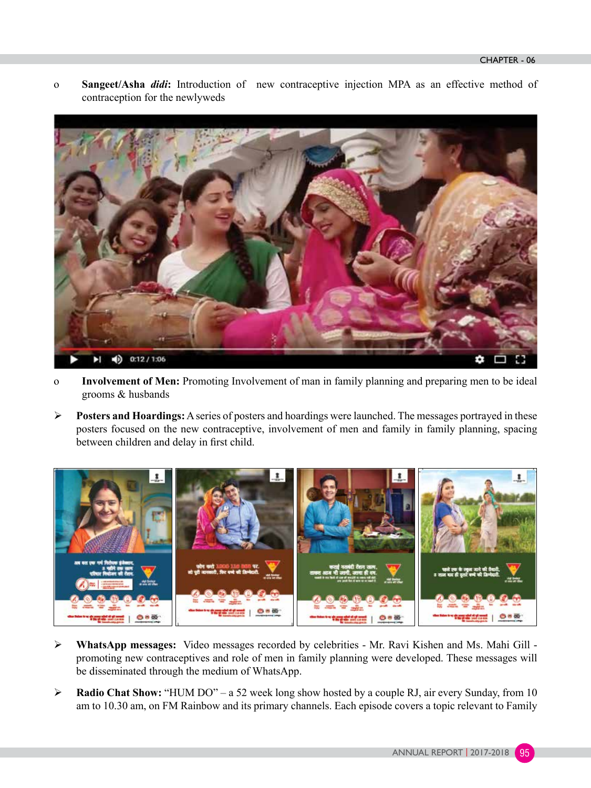o **Sangeet/Asha** *didi***:** Introduction of new contraceptive injection MPA as an effective method of contraception for the newlyweds



- o **Involvement of Men:** Promoting Involvement of man in family planning and preparing men to be ideal grooms & husbands
- ¾ **Posters and Hoardings:** A series of posters and hoardings were launched. The messages portrayed in these posters focused on the new contraceptive, involvement of men and family in family planning, spacing between children and delay in first child.



- ¾ **WhatsApp messages:** Video messages recorded by celebrities Mr. Ravi Kishen and Ms. Mahi Gill promoting new contraceptives and role of men in family planning were developed. These messages will be disseminated through the medium of WhatsApp.
- ¾ **Radio Chat Show:** "HUM DO" a 52 week long show hosted by a couple RJ, air every Sunday, from 10 am to 10.30 am, on FM Rainbow and its primary channels. Each episode covers a topic relevant to Family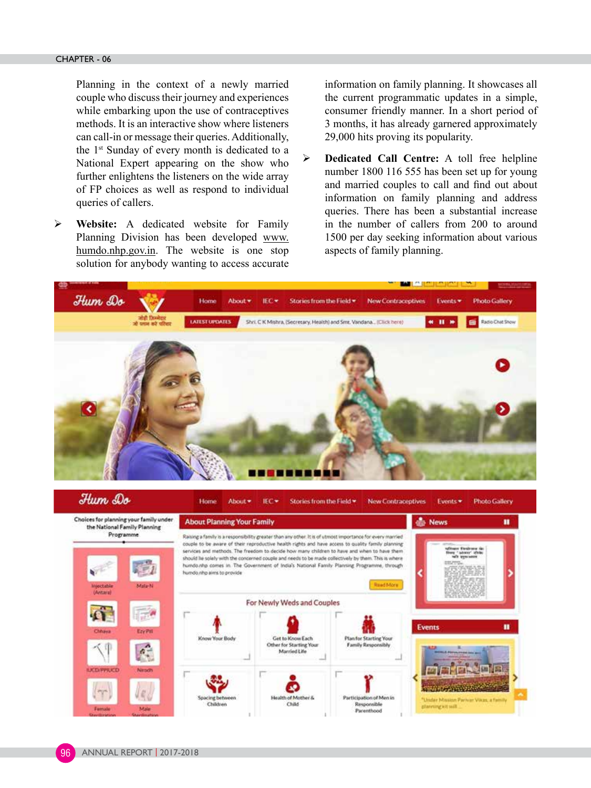Planning in the context of a newly married couple who discuss their journey and experiences while embarking upon the use of contraceptives methods. It is an interactive show where listeners can call-in or message their queries. Additionally, the 1st Sunday of every month is dedicated to a National Expert appearing on the show who further enlightens the listeners on the wide array of FP choices as well as respond to individual queries of callers.

¾ **Website:** A dedicated website for Family Planning Division has been developed www. humdo.nhp.gov.in. The website is one stop solution for anybody wanting to access accurate information on family planning. It showcases all the current programmatic updates in a simple, consumer friendly manner. In a short period of 3 months, it has already garnered approximately 29,000 hits proving its popularity.

¾ **Dedicated Call Centre:** A toll free helpline number 1800 116 555 has been set up for young and married couples to call and find out about information on family planning and address queries. There has been a substantial increase in the number of callers from 200 to around 1500 per day seeking information about various aspects of family planning.

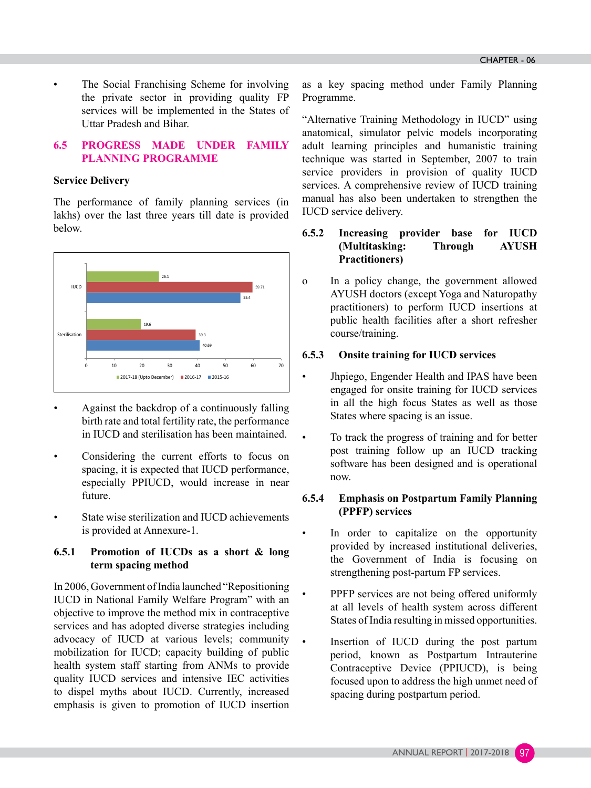The Social Franchising Scheme for involving the private sector in providing quality FP services will be implemented in the States of Uttar Pradesh and Bihar.

#### **6.5 PROGRESS MADE UNDER FAMILY PLANNING PROGRAMME**

#### **Service Delivery**

The performance of family planning services (in lakhs) over the last three years till date is provided below.



- Against the backdrop of a continuously falling birth rate and total fertility rate, the performance in IUCD and sterilisation has been maintained.
- Considering the current efforts to focus on spacing, it is expected that IUCD performance, especially PPIUCD, would increase in near future.
- State wise sterilization and IUCD achievements is provided at Annexure-1.

# **6.5.1 Promotion of IUCDs as a short & long term spacing method**

In 2006, Government of India launched "Repositioning IUCD in National Family Welfare Program" with an objective to improve the method mix in contraceptive services and has adopted diverse strategies including advocacy of IUCD at various levels; community mobilization for IUCD; capacity building of public health system staff starting from ANMs to provide quality IUCD services and intensive IEC activities to dispel myths about IUCD. Currently, increased emphasis is given to promotion of IUCD insertion

as a key spacing method under Family Planning Programme.

"Alternative Training Methodology in IUCD" using anatomical, simulator pelvic models incorporating adult learning principles and humanistic training technique was started in September, 2007 to train service providers in provision of quality IUCD services. A comprehensive review of IUCD training manual has also been undertaken to strengthen the IUCD service delivery.

# **6.5.2 Increasing provider base for IUCD (Multitasking: Through AYUSH Practitioners)**

o In a policy change, the government allowed AYUSH doctors (except Yoga and Naturopathy practitioners) to perform IUCD insertions at public health facilities after a short refresher course/training.

#### **6.5.3 Onsite training for IUCD services**

- Jhpiego, Engender Health and IPAS have been engaged for onsite training for IUCD services in all the high focus States as well as those States where spacing is an issue.
	- To track the progress of training and for better post training follow up an IUCD tracking software has been designed and is operational now.

# **6.5.4 Emphasis on Postpartum Family Planning (PPFP) services**

- In order to capitalize on the opportunity provided by increased institutional deliveries, the Government of India is focusing on strengthening post-partum FP services.
- PPFP services are not being offered uniformly at all levels of health system across different States of India resulting in missed opportunities.
- Insertion of IUCD during the post partum period, known as Postpartum Intrauterine Contraceptive Device (PPIUCD), is being focused upon to address the high unmet need of spacing during postpartum period.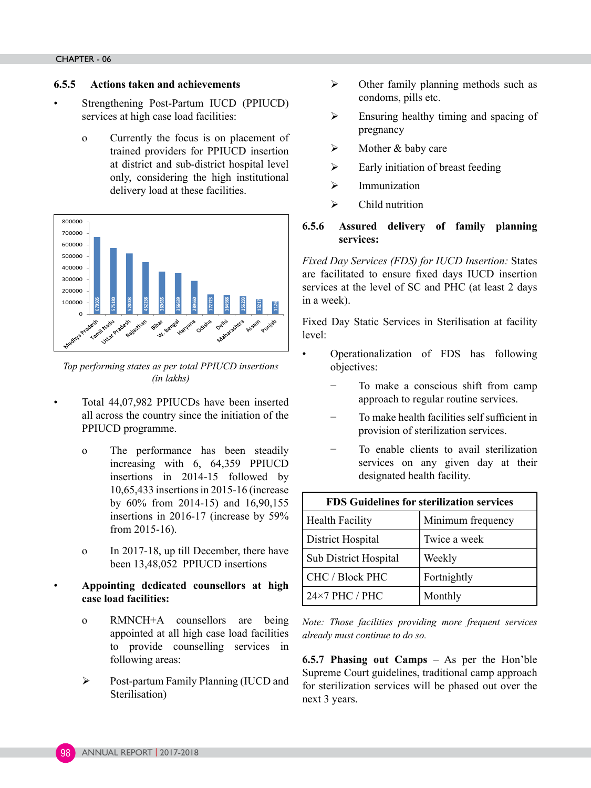#### **6.5.5 Actions taken and achievements**

- Strengthening Post-Partum IUCD (PPIUCD) services at high case load facilities:
	- o Currently the focus is on placement of trained providers for PPIUCD insertion at district and sub-district hospital level only, considering the high institutional delivery load at these facilities.



*Top performing states as per total PPIUCD insertions (in lakhs)* 

- Total 44,07,982 PPIUCDs have been inserted all across the country since the initiation of the PPIUCD programme.
	- o The performance has been steadily increasing with 6, 64,359 PPIUCD insertions in 2014-15 followed by 10,65,433 insertions in 2015-16 (increase by 60% from 2014-15) and 16,90,155 insertions in 2016-17 (increase by 59% from 2015-16).
	- o In 2017-18, up till December, there have been 13,48,052 PPIUCD insertions

# • **Appointing dedicated counsellors at high case load facilities:**

- o RMNCH+A counsellors are being appointed at all high case load facilities to provide counselling services in following areas:
- ¾ Post-partum Family Planning (IUCD and Sterilisation)
- $\triangleright$  Other family planning methods such as condoms, pills etc.
- $\triangleright$  Ensuring healthy timing and spacing of pregnancy
- $\triangleright$  Mother & baby care
- $\triangleright$  Early initiation of breast feeding
- $\triangleright$  Immunization
- $\triangleright$  Child nutrition

# **6.5.6 Assured delivery of family planning services:**

*Fixed Day Services (FDS) for IUCD Insertion:* States are facilitated to ensure fixed days IUCD insertion services at the level of SC and PHC (at least 2 days in a week).

Fixed Day Static Services in Sterilisation at facility level:

- Operationalization of FDS has following objectives:
	- − To make a conscious shift from camp approach to regular routine services.
	- − To make health facilities self sufficient in provision of sterilization services.
	- − To enable clients to avail sterilization services on any given day at their designated health facility.

| <b>FDS Guidelines for sterilization services</b> |                   |  |  |
|--------------------------------------------------|-------------------|--|--|
| <b>Health Facility</b>                           | Minimum frequency |  |  |
| District Hospital                                | Twice a week      |  |  |
| Sub District Hospital<br>Weekly                  |                   |  |  |
| <b>CHC / Block PHC</b><br>Fortnightly            |                   |  |  |
| $24\times7$ PHC / PHC                            | Monthly           |  |  |

*Note: Those facilities providing more frequent services already must continue to do so.*

**6.5.7 Phasing out Camps** – As per the Hon'ble Supreme Court guidelines, traditional camp approach for sterilization services will be phased out over the next 3 years.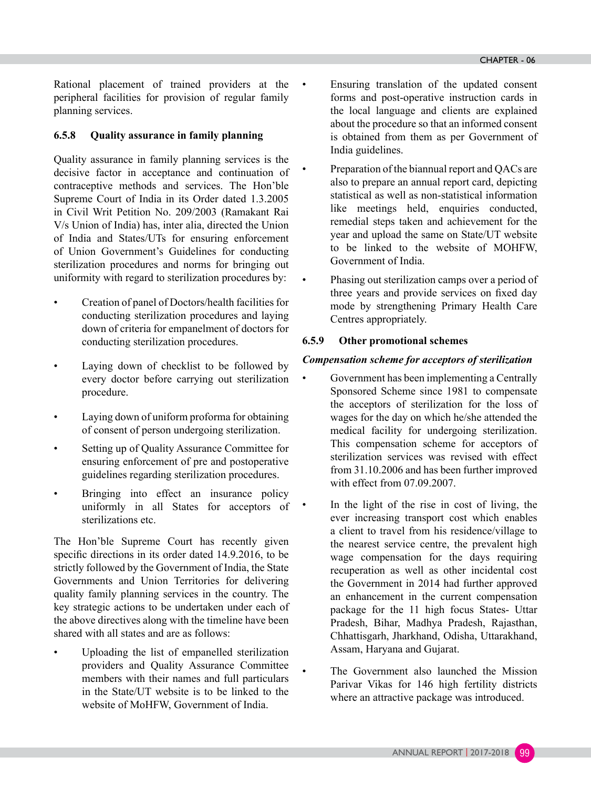Rational placement of trained providers at the • peripheral facilities for provision of regular family planning services.

# **6.5.8 Quality assurance in family planning**

Quality assurance in family planning services is the decisive factor in acceptance and continuation of contraceptive methods and services. The Hon'ble Supreme Court of India in its Order dated 1.3.2005 in Civil Writ Petition No. 209/2003 (Ramakant Rai V/s Union of India) has, inter alia, directed the Union of India and States/UTs for ensuring enforcement of Union Government's Guidelines for conducting sterilization procedures and norms for bringing out uniformity with regard to sterilization procedures by:

- Creation of panel of Doctors/health facilities for conducting sterilization procedures and laying down of criteria for empanelment of doctors for conducting sterilization procedures.
- Laying down of checklist to be followed by every doctor before carrying out sterilization procedure.
- Laying down of uniform proforma for obtaining of consent of person undergoing sterilization.
- Setting up of Quality Assurance Committee for ensuring enforcement of pre and postoperative guidelines regarding sterilization procedures.
- Bringing into effect an insurance policy uniformly in all States for acceptors of sterilizations etc.

The Hon'ble Supreme Court has recently given specific directions in its order dated 14.9.2016, to be strictly followed by the Government of India, the State Governments and Union Territories for delivering quality family planning services in the country. The key strategic actions to be undertaken under each of the above directives along with the timeline have been shared with all states and are as follows:

Uploading the list of empanelled sterilization providers and Quality Assurance Committee members with their names and full particulars in the State/UT website is to be linked to the website of MoHFW, Government of India.

- Ensuring translation of the updated consent forms and post-operative instruction cards in the local language and clients are explained about the procedure so that an informed consent is obtained from them as per Government of India guidelines.
- Preparation of the biannual report and QACs are also to prepare an annual report card, depicting statistical as well as non-statistical information like meetings held, enquiries conducted, remedial steps taken and achievement for the year and upload the same on State/UT website to be linked to the website of MOHFW, Government of India.
- Phasing out sterilization camps over a period of three years and provide services on fixed day mode by strengthening Primary Health Care Centres appropriately.

# **6.5.9 Other promotional schemes**

# *Compensation scheme for acceptors of sterilization*

- Government has been implementing a Centrally Sponsored Scheme since 1981 to compensate the acceptors of sterilization for the loss of wages for the day on which he/she attended the medical facility for undergoing sterilization. This compensation scheme for acceptors of sterilization services was revised with effect from 31.10.2006 and has been further improved with effect from 07.09.2007.
	- In the light of the rise in cost of living, the ever increasing transport cost which enables a client to travel from his residence/village to the nearest service centre, the prevalent high wage compensation for the days requiring recuperation as well as other incidental cost the Government in 2014 had further approved an enhancement in the current compensation package for the 11 high focus States- Uttar Pradesh, Bihar, Madhya Pradesh, Rajasthan, Chhattisgarh, Jharkhand, Odisha, Uttarakhand, Assam, Haryana and Gujarat.
		- The Government also launched the Mission Parivar Vikas for 146 high fertility districts where an attractive package was introduced.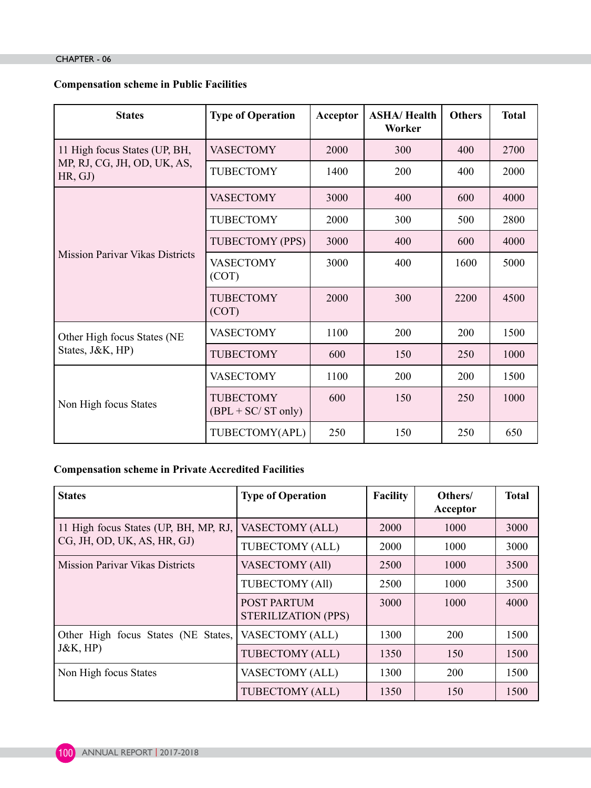#### CHAPTER - 06

# **Compensation scheme in Public Facilities**

| <b>States</b>                          | <b>Type of Operation</b>                  | Acceptor | <b>ASHA/Health</b><br>Worker | <b>Others</b> | <b>Total</b> |
|----------------------------------------|-------------------------------------------|----------|------------------------------|---------------|--------------|
| 11 High focus States (UP, BH,          | <b>VASECTOMY</b>                          | 2000     | 300                          | 400           | 2700         |
| MP, RJ, CG, JH, OD, UK, AS,<br>HR, GJ) | <b>TUBECTOMY</b>                          | 1400     | 200                          | 400           | 2000         |
|                                        | <b>VASECTOMY</b>                          | 3000     | 400                          | 600           | 4000         |
|                                        | TUBECTOMY                                 | 2000     | 300                          | 500           | 2800         |
|                                        | TUBECTOMY (PPS)                           | 3000     | 400                          | 600           | 4000         |
| <b>Mission Parivar Vikas Districts</b> | <b>VASECTOMY</b><br>(COT)                 | 3000     | 400                          | 1600          | 5000         |
|                                        | <b>TUBECTOMY</b><br>(COT)                 | 2000     | 300                          | 2200          | 4500         |
| Other High focus States (NE            | <b>VASECTOMY</b>                          | 1100     | 200                          | 200           | 1500         |
| States, J&K, HP)                       | <b>TUBECTOMY</b>                          | 600      | 150                          | 250           | 1000         |
| Non High focus States                  | <b>VASECTOMY</b>                          | 1100     | 200                          | 200           | 1500         |
|                                        | <b>TUBECTOMY</b><br>$(BPL + SC/ ST only)$ | 600      | 150                          | 250           | 1000         |
|                                        | TUBECTOMY(APL)                            | 250      | 150                          | 250           | 650          |

# **Compensation scheme in Private Accredited Facilities**

| <b>States</b>                          | <b>Type of Operation</b>                  | <b>Facility</b> | Others/<br>Acceptor | <b>Total</b> |
|----------------------------------------|-------------------------------------------|-----------------|---------------------|--------------|
| 11 High focus States (UP, BH, MP, RJ,  | <b>VASECTOMY (ALL)</b>                    | 2000            | 1000                | 3000         |
| CG, JH, OD, UK, AS, HR, GJ)            | TUBECTOMY (ALL)                           | 2000            | 1000                | 3000         |
| <b>Mission Parivar Vikas Districts</b> | <b>VASECTOMY (All)</b>                    | 2500            | 1000                | 3500         |
|                                        | <b>TUBECTOMY (All)</b>                    | 2500            | 1000                | 3500         |
|                                        | <b>POST PARTUM</b><br>STERILIZATION (PPS) | 3000            | 1000                | 4000         |
| Other High focus States (NE States,    | <b>VASECTOMY (ALL)</b>                    | 1300            | 200                 | 1500         |
| $J&K$ , HP)                            | TUBECTOMY (ALL)                           | 1350            | 150                 | 1500         |
| Non High focus States                  | <b>VASECTOMY (ALL)</b>                    | 1300            | 200                 | 1500         |
|                                        | TUBECTOMY (ALL)                           | 1350            | 150                 | 1500         |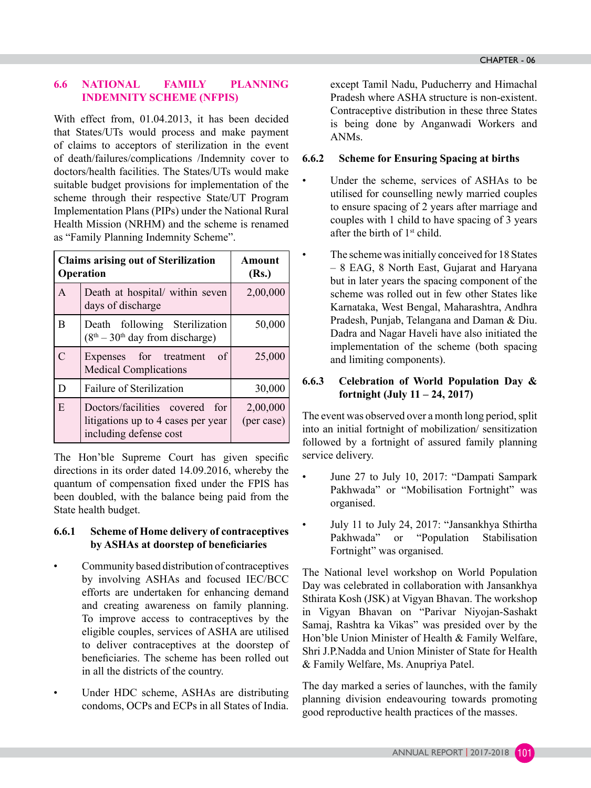# **6.6 NATIONAL FAMILY PLANNING INDEMNITY SCHEME (NFPIS)**

With effect from, 01.04.2013, it has been decided that States/UTs would process and make payment of claims to acceptors of sterilization in the event of death/failures/complications /Indemnity cover to doctors/health facilities. The States/UTs would make suitable budget provisions for implementation of the scheme through their respective State/UT Program Implementation Plans (PIPs) under the National Rural Health Mission (NRHM) and the scheme is renamed as "Family Planning Indemnity Scheme".

| <b>Claims arising out of Sterilization</b><br>Operation |                                                                                                   | Amount<br>(Rs.)        |  |
|---------------------------------------------------------|---------------------------------------------------------------------------------------------------|------------------------|--|
| $\mathsf{A}$                                            | Death at hospital/ within seven<br>days of discharge                                              | 2,00,000               |  |
| B                                                       | Death following Sterilization<br>$(8th – 30th$ day from discharge)                                | 50,000                 |  |
| $\mathcal{C}$                                           | Expenses for treatment<br>of<br><b>Medical Complications</b>                                      | 25,000                 |  |
| D                                                       | <b>Failure of Sterilization</b>                                                                   | 30,000                 |  |
| E                                                       | Doctors/facilities covered<br>for<br>litigations up to 4 cases per year<br>including defense cost | 2,00,000<br>(per case) |  |

The Hon'ble Supreme Court has given specific directions in its order dated 14.09.2016, whereby the quantum of compensation fixed under the FPIS has been doubled, with the balance being paid from the State health budget.

# **6.6.1 Scheme of Home delivery of contraceptives by ASHAs at doorstep of beneficiaries**

- Community based distribution of contraceptives by involving ASHAs and focused IEC/BCC efforts are undertaken for enhancing demand and creating awareness on family planning. To improve access to contraceptives by the eligible couples, services of ASHA are utilised to deliver contraceptives at the doorstep of beneficiaries. The scheme has been rolled out in all the districts of the country.
- Under HDC scheme, ASHAs are distributing condoms, OCPs and ECPs in all States of India.

except Tamil Nadu, Puducherry and Himachal Pradesh where ASHA structure is non-existent. Contraceptive distribution in these three States is being done by Anganwadi Workers and ANMs.

# **6.6.2 Scheme for Ensuring Spacing at births**

- Under the scheme, services of ASHAs to be utilised for counselling newly married couples to ensure spacing of 2 years after marriage and couples with 1 child to have spacing of 3 years after the birth of  $1<sup>st</sup>$  child.
- The scheme was initially conceived for 18 States – 8 EAG, 8 North East, Gujarat and Haryana but in later years the spacing component of the scheme was rolled out in few other States like Karnataka, West Bengal, Maharashtra, Andhra Pradesh, Punjab, Telangana and Daman & Diu. Dadra and Nagar Haveli have also initiated the implementation of the scheme (both spacing and limiting components).

# **6.6.3 Celebration of World Population Day & fortnight (July 11 – 24, 2017)**

The event was observed over a month long period, split into an initial fortnight of mobilization/ sensitization followed by a fortnight of assured family planning service delivery.

- June 27 to July 10, 2017: "Dampati Sampark Pakhwada" or "Mobilisation Fortnight" was organised.
- July 11 to July 24, 2017: "Jansankhya Sthirtha Pakhwada" or "Population Stabilisation Fortnight" was organised.

The National level workshop on World Population Day was celebrated in collaboration with Jansankhya Sthirata Kosh (JSK) at Vigyan Bhavan. The workshop in Vigyan Bhavan on "Parivar Niyojan-Sashakt Samaj, Rashtra ka Vikas" was presided over by the Hon'ble Union Minister of Health & Family Welfare, Shri J.P.Nadda and Union Minister of State for Health & Family Welfare, Ms. Anupriya Patel.

The day marked a series of launches, with the family planning division endeavouring towards promoting good reproductive health practices of the masses.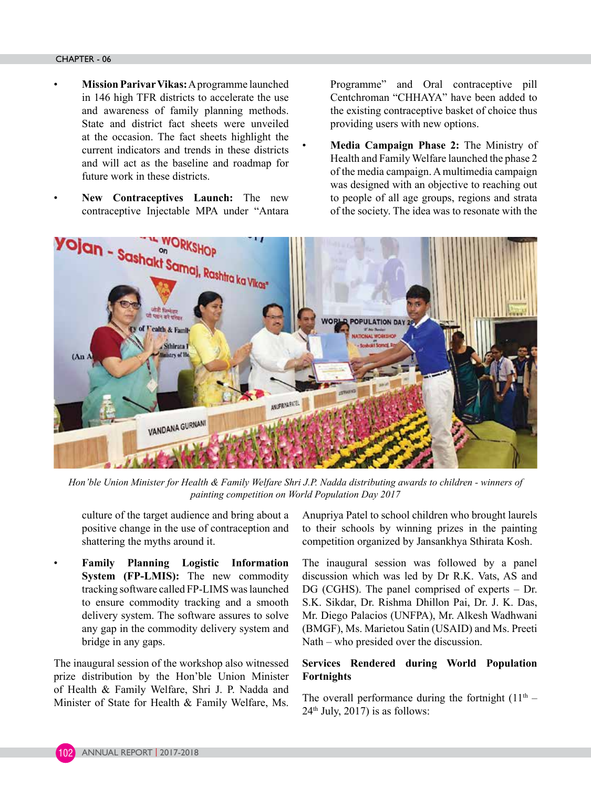- **Mission Parivar Vikas:** A programme launched in 146 high TFR districts to accelerate the use and awareness of family planning methods. State and district fact sheets were unveiled at the occasion. The fact sheets highlight the current indicators and trends in these districts and will act as the baseline and roadmap for future work in these districts.
	- **New Contraceptives Launch:** The new contraceptive Injectable MPA under "Antara

Programme" and Oral contraceptive pill Centchroman "CHHAYA" have been added to the existing contraceptive basket of choice thus providing users with new options.

• **Media Campaign Phase 2:** The Ministry of Health and Family Welfare launched the phase 2 of the media campaign. A multimedia campaign was designed with an objective to reaching out to people of all age groups, regions and strata of the society. The idea was to resonate with the



*Hon'ble Union Minister for Health & Family Welfare Shri J.P. Nadda distributing awards to children - winners of painting competition on World Population Day 2017*

culture of the target audience and bring about a positive change in the use of contraception and shattering the myths around it.

• **Family Planning Logistic Information System (FP-LMIS):** The new commodity tracking software called FP-LIMS was launched to ensure commodity tracking and a smooth delivery system. The software assures to solve any gap in the commodity delivery system and bridge in any gaps.

The inaugural session of the workshop also witnessed prize distribution by the Hon'ble Union Minister of Health & Family Welfare, Shri J. P. Nadda and Minister of State for Health & Family Welfare, Ms. Anupriya Patel to school children who brought laurels to their schools by winning prizes in the painting competition organized by Jansankhya Sthirata Kosh.

The inaugural session was followed by a panel discussion which was led by Dr R.K. Vats, AS and DG (CGHS). The panel comprised of experts – Dr. S.K. Sikdar, Dr. Rishma Dhillon Pai, Dr. J. K. Das, Mr. Diego Palacios (UNFPA), Mr. Alkesh Wadhwani (BMGF), Ms. Marietou Satin (USAID) and Ms. Preeti Nath – who presided over the discussion.

# **Services Rendered during World Population Fortnights**

The overall performance during the fortnight  $(11<sup>th</sup> 24<sup>th</sup>$  July,  $2017$ ) is as follows:

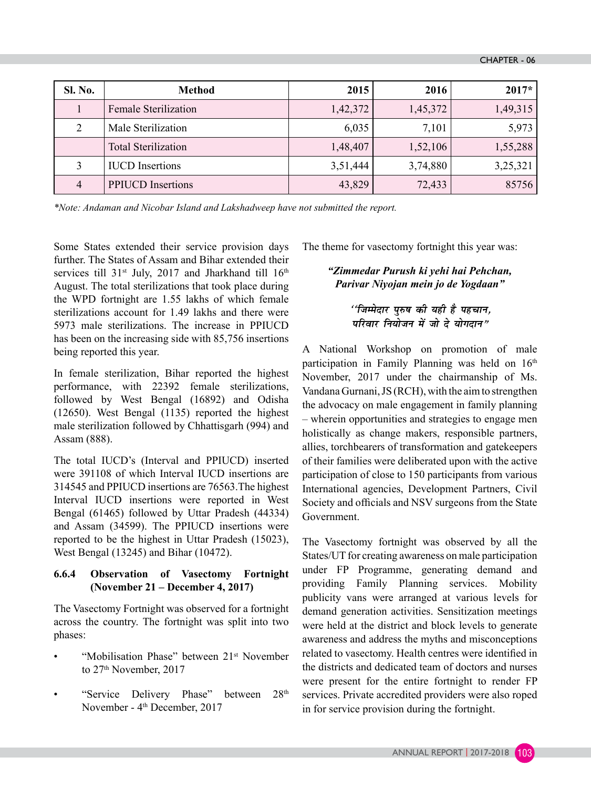| Sl. No.        | <b>Method</b>               | 2015     | 2016     | $2017*$  |
|----------------|-----------------------------|----------|----------|----------|
|                | <b>Female Sterilization</b> | 1,42,372 | 1,45,372 | 1,49,315 |
| $\mathcal{D}$  | Male Sterilization          | 6,035    | 7,101    | 5,973    |
|                | <b>Total Sterilization</b>  | 1,48,407 | 1,52,106 | 1,55,288 |
| 3              | <b>IUCD</b> Insertions      | 3,51,444 | 3,74,880 | 3,25,321 |
| $\overline{4}$ | <b>PPIUCD</b> Insertions    | 43,829   | 72,433   | 85756    |

*\*Note: Andaman and Nicobar Island and Lakshadweep have not submitted the report.* 

Some States extended their service provision days further. The States of Assam and Bihar extended their services till 31<sup>st</sup> July, 2017 and Jharkhand till 16<sup>th</sup> August. The total sterilizations that took place during the WPD fortnight are 1.55 lakhs of which female sterilizations account for 1.49 lakhs and there were 5973 male sterilizations. The increase in PPIUCD has been on the increasing side with 85,756 insertions being reported this year.

In female sterilization, Bihar reported the highest performance, with 22392 female sterilizations, followed by West Bengal (16892) and Odisha (12650). West Bengal (1135) reported the highest male sterilization followed by Chhattisgarh (994) and Assam (888).

The total IUCD's (Interval and PPIUCD) inserted were 391108 of which Interval IUCD insertions are 314545 and PPIUCD insertions are 76563.The highest Interval IUCD insertions were reported in West Bengal (61465) followed by Uttar Pradesh (44334) and Assam (34599). The PPIUCD insertions were reported to be the highest in Uttar Pradesh (15023), West Bengal (13245) and Bihar (10472).

# **6.6.4 Observation of Vasectomy Fortnight (November 21 – December 4, 2017)**

The Vasectomy Fortnight was observed for a fortnight across the country. The fortnight was split into two phases:

- "Mobilisation Phase" between 21st November to 27<sup>th</sup> November, 2017
- "Service Delivery Phase" between 28<sup>th</sup> November - 4<sup>th</sup> December, 2017

The theme for vasectomy fortnight this year was:

# *"Zimmedar Purush ki yehi hai Pehchan, Parivar Niyojan mein jo de Yogdaan"*

# *^^*fजम्मेदार पुरुष की यही है पहचान, *परिवार नियोजन में जो दे योगदान"*

A National Workshop on promotion of male participation in Family Planning was held on 16<sup>th</sup> November, 2017 under the chairmanship of Ms. Vandana Gurnani, JS (RCH), with the aim to strengthen the advocacy on male engagement in family planning – wherein opportunities and strategies to engage men holistically as change makers, responsible partners, allies, torchbearers of transformation and gatekeepers of their families were deliberated upon with the active participation of close to 150 participants from various International agencies, Development Partners, Civil Society and officials and NSV surgeons from the State Government.

The Vasectomy fortnight was observed by all the States/UT for creating awareness on male participation under FP Programme, generating demand and providing Family Planning services. Mobility publicity vans were arranged at various levels for demand generation activities. Sensitization meetings were held at the district and block levels to generate awareness and address the myths and misconceptions related to vasectomy. Health centres were identified in the districts and dedicated team of doctors and nurses were present for the entire fortnight to render FP services. Private accredited providers were also roped in for service provision during the fortnight.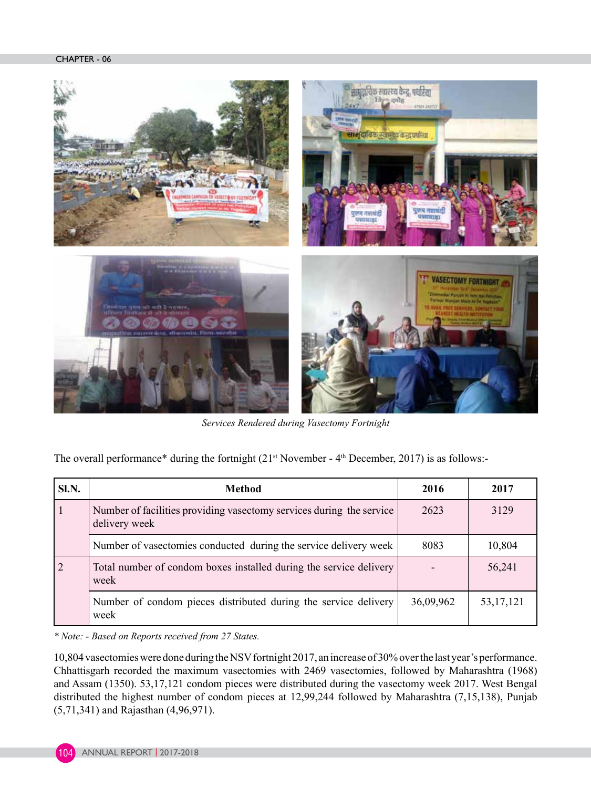#### CHAPTER - 06



*Services Rendered during Vasectomy Fortnight*

The overall performance\* during the fortnight  $(21<sup>st</sup> November - 4<sup>th</sup> December, 2017)$  is as follows:-

| SI.N. | <b>Method</b>                                                                         | 2016      | 2017        |
|-------|---------------------------------------------------------------------------------------|-----------|-------------|
|       | Number of facilities providing vasectomy services during the service<br>delivery week | 2623      | 3129        |
|       | Number of vasectomies conducted during the service delivery week                      | 8083      | 10,804      |
|       | Total number of condom boxes installed during the service delivery<br>week            |           | 56,241      |
|       | Number of condom pieces distributed during the service delivery<br>week               | 36,09,962 | 53, 17, 121 |

*\* Note: - Based on Reports received from 27 States.*

10,804 vasectomies were done during the NSV fortnight 2017, an increase of 30% over the last year's performance. Chhattisgarh recorded the maximum vasectomies with 2469 vasectomies, followed by Maharashtra (1968) and Assam (1350). 53,17,121 condom pieces were distributed during the vasectomy week 2017. West Bengal distributed the highest number of condom pieces at 12,99,244 followed by Maharashtra (7,15,138), Punjab (5,71,341) and Rajasthan (4,96,971).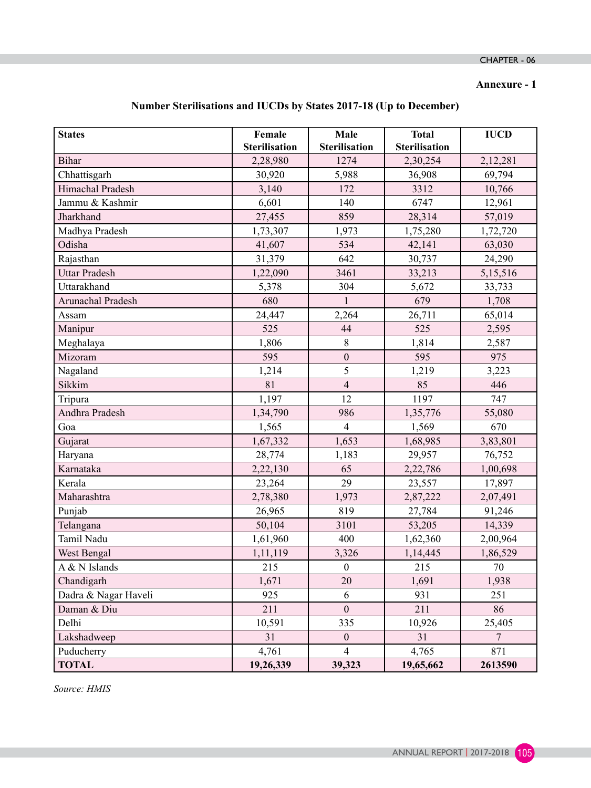# **Annexure - 1**

| Number Sterilisations and IUCDs by States 2017-18 (Up to December) |  |  |  |  |  |  |
|--------------------------------------------------------------------|--|--|--|--|--|--|
|--------------------------------------------------------------------|--|--|--|--|--|--|

| <b>States</b>        | Female               | Male                 | <b>Total</b>         | <b>IUCD</b>    |
|----------------------|----------------------|----------------------|----------------------|----------------|
|                      | <b>Sterilisation</b> | <b>Sterilisation</b> | <b>Sterilisation</b> |                |
| <b>Bihar</b>         | 2,28,980             | 1274                 | 2,30,254             | 2,12,281       |
| Chhattisgarh         | 30,920               | 5,988                | 36,908               | 69,794         |
| Himachal Pradesh     | 3,140                | 172                  | 3312                 | 10,766         |
| Jammu & Kashmir      | 6,601                | 140                  | 6747                 | 12,961         |
| Jharkhand            | 27,455               | 859                  | 28,314               | 57,019         |
| Madhya Pradesh       | 1,73,307             | 1,973                | 1,75,280             | 1,72,720       |
| Odisha               | 41,607               | 534                  | 42,141               | 63,030         |
| Rajasthan            | 31,379               | 642                  | 30,737               | 24,290         |
| <b>Uttar Pradesh</b> | 1,22,090             | 3461                 | 33,213               | 5,15,516       |
| Uttarakhand          | 5,378                | 304                  | 5,672                | 33,733         |
| Arunachal Pradesh    | 680                  | $\mathbf{1}$         | 679                  | 1,708          |
| Assam                | 24,447               | 2,264                | 26,711               | 65,014         |
| Manipur              | 525                  | 44                   | 525                  | 2,595          |
| Meghalaya            | 1,806                | $8\,$                | 1,814                | 2,587          |
| Mizoram              | 595                  | $\boldsymbol{0}$     | 595                  | 975            |
| Nagaland             | 1,214                | 5                    | 1,219                | 3,223          |
| Sikkim               | 81                   | $\overline{4}$       | 85                   | 446            |
| Tripura              | 1,197                | 12                   | 1197                 | 747            |
| Andhra Pradesh       | 1,34,790             | 986                  | 1,35,776             | 55,080         |
| Goa                  | 1,565                | $\overline{4}$       | 1,569                | 670            |
| Gujarat              | 1,67,332             | 1,653                | 1,68,985             | 3,83,801       |
| Haryana              | 28,774               | 1,183                | 29,957               | 76,752         |
| Karnataka            | 2,22,130             | 65                   | 2,22,786             | 1,00,698       |
| Kerala               | 23,264               | 29                   | 23,557               | 17,897         |
| Maharashtra          | 2,78,380             | 1,973                | 2,87,222             | 2,07,491       |
| Punjab               | 26,965               | 819                  | 27,784               | 91,246         |
| Telangana            | 50,104               | 3101                 | 53,205               | 14,339         |
| Tamil Nadu           | 1,61,960             | 400                  | 1,62,360             | 2,00,964       |
| West Bengal          | 1,11,119             | 3,326                | 1,14,445             | 1,86,529       |
| A & N Islands        | 215                  | $\boldsymbol{0}$     | 215                  | 70             |
| Chandigarh           | 1,671                | 20                   | 1,691                | 1,938          |
| Dadra & Nagar Haveli | 925                  | 6                    | 931                  | 251            |
| Daman & Diu          | 211                  | $\boldsymbol{0}$     | 211                  | 86             |
| Delhi                | 10,591               | 335                  | 10,926               | 25,405         |
| Lakshadweep          | 31                   | $\boldsymbol{0}$     | 31                   | $\overline{7}$ |
| Puducherry           | 4,761                | $\overline{4}$       | 4,765                | 871            |
| <b>TOTAL</b>         | 19,26,339            | 39,323               | 19,65,662            | 2613590        |

*Source: HMIS*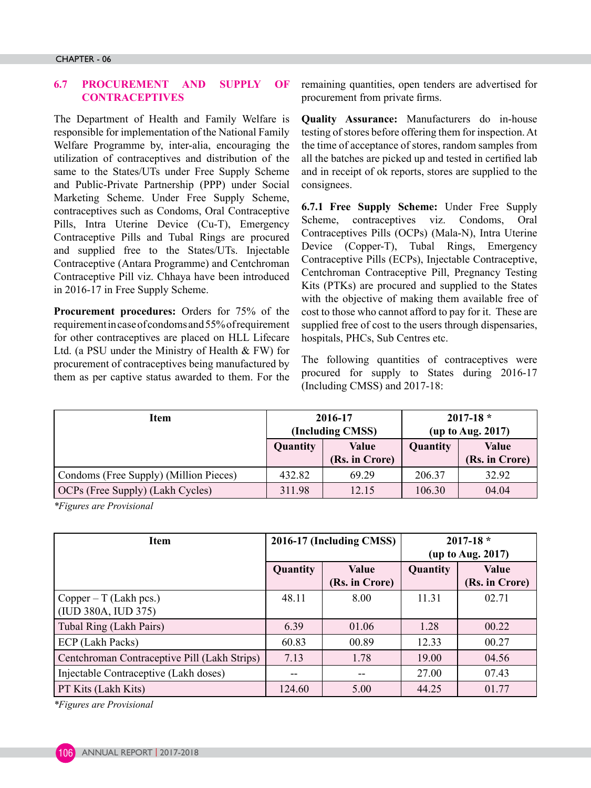#### **6.7 PROCUREMENT AND SUPPLY**  $\Omega$ F **CONTRACEPTIVES**

The Department of Health and Family Welfare is responsible for implementation of the National Family Welfare Programme by, inter-alia, encouraging the utilization of contraceptives and distribution of the same to the States/UTs under Free Supply Scheme and Public-Private Partnership (PPP) under Social Marketing Scheme. Under Free Supply Scheme, contraceptives such as Condoms, Oral Contraceptive Pills, Intra Uterine Device (Cu-T), Emergency Contraceptive Pills and Tubal Rings are procured and supplied free to the States/UTs. Injectable Contraceptive (Antara Programme) and Centchroman Contraceptive Pill viz. Chhaya have been introduced in 2016-17 in Free Supply Scheme.

**Procurement procedures:** Orders for 75% of the requirement in case of condoms and 55% of requirement for other contraceptives are placed on HLL Lifecare Ltd. (a PSU under the Ministry of Health & FW) for procurement of contraceptives being manufactured by them as per captive status awarded to them. For the remaining quantities, open tenders are advertised for procurement from private firms.

**Quality Assurance:** Manufacturers do in-house testing of stores before offering them for inspection. At the time of acceptance of stores, random samples from all the batches are picked up and tested in certified lab and in receipt of ok reports, stores are supplied to the consignees.

**6.7.1 Free Supply Scheme:** Under Free Supply Scheme, contraceptives viz. Condoms, Oral Contraceptives Pills (OCPs) (Mala-N), Intra Uterine Device (Copper-T), Tubal Rings, Emergency Contraceptive Pills (ECPs), Injectable Contraceptive, Centchroman Contraceptive Pill, Pregnancy Testing Kits (PTKs) are procured and supplied to the States with the objective of making them available free of cost to those who cannot afford to pay for it. These are supplied free of cost to the users through dispensaries, hospitals, PHCs, Sub Centres etc.

The following quantities of contraceptives were procured for supply to States during 2016-17 (Including CMSS) and 2017-18:

| Item                                   | 2016-17<br>(Including CMSS) |                                | $2017 - 18$ *<br>(up to Aug. 2017) |                         |
|----------------------------------------|-----------------------------|--------------------------------|------------------------------------|-------------------------|
|                                        | Quantity                    | <b>Value</b><br>(Rs. in Crore) | Quantity                           | Value<br>(Rs. in Crore) |
| Condoms (Free Supply) (Million Pieces) | 432.82                      | 69.29                          | 206.37                             | 32.92                   |
| OCPs (Free Supply) (Lakh Cycles)       | 311.98                      | 12.15                          | 106.30                             | 04.04                   |

*\*Figures are Provisional*

| <b>Item</b>                                     | 2016-17 (Including CMSS) |                                | $2017 - 18$ *<br>(up to Aug. 2017) |                                |  |
|-------------------------------------------------|--------------------------|--------------------------------|------------------------------------|--------------------------------|--|
|                                                 | Quantity                 | <b>Value</b><br>(Rs. in Crore) | Quantity                           | <b>Value</b><br>(Rs. in Crore) |  |
| $Copper - T (Lakh pcs.)$<br>(IUD 380A, IUD 375) | 48.11                    | 8.00                           | 11.31                              | 02.71                          |  |
| Tubal Ring (Lakh Pairs)                         | 6.39                     | 01.06                          | 1.28                               | 00.22                          |  |
| ECP (Lakh Packs)                                | 60.83                    | 00.89                          | 12.33                              | 00.27                          |  |
| Centchroman Contraceptive Pill (Lakh Strips)    | 7.13                     | 1.78                           | 19.00                              | 04.56                          |  |
| Injectable Contraceptive (Lakh doses)           | --                       | --                             | 27.00                              | 07.43                          |  |
| PT Kits (Lakh Kits)                             | 124.60                   | 5.00                           | 44.25                              | 01.77                          |  |

*\*Figures are Provisional*

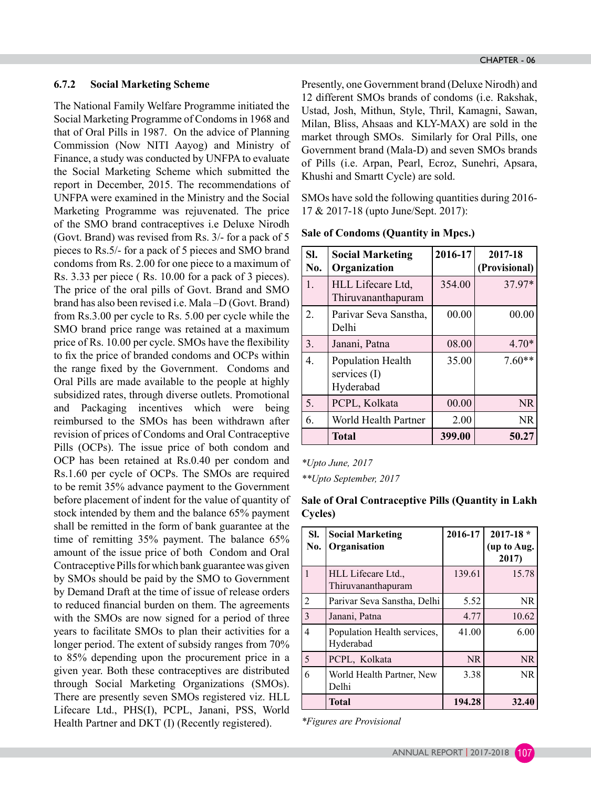#### **6.7.2 Social Marketing Scheme**

The National Family Welfare Programme initiated the Social Marketing Programme of Condoms in 1968 and that of Oral Pills in 1987. On the advice of Planning Commission (Now NITI Aayog) and Ministry of Finance, a study was conducted by UNFPA to evaluate the Social Marketing Scheme which submitted the report in December, 2015. The recommendations of UNFPA were examined in the Ministry and the Social Marketing Programme was rejuvenated. The price of the SMO brand contraceptives i.e Deluxe Nirodh (Govt. Brand) was revised from Rs. 3/- for a pack of 5 pieces to Rs.5/- for a pack of 5 pieces and SMO brand condoms from Rs. 2.00 for one piece to a maximum of Rs. 3.33 per piece ( Rs. 10.00 for a pack of 3 pieces). The price of the oral pills of Govt. Brand and SMO brand has also been revised i.e. Mala –D (Govt. Brand) from Rs.3.00 per cycle to Rs. 5.00 per cycle while the SMO brand price range was retained at a maximum price of Rs. 10.00 per cycle. SMOs have the flexibility to fix the price of branded condoms and OCPs within the range fixed by the Government. Condoms and Oral Pills are made available to the people at highly subsidized rates, through diverse outlets. Promotional and Packaging incentives which were being reimbursed to the SMOs has been withdrawn after revision of prices of Condoms and Oral Contraceptive Pills (OCPs). The issue price of both condom and OCP has been retained at Rs.0.40 per condom and Rs.1.60 per cycle of OCPs. The SMOs are required to be remit 35% advance payment to the Government before placement of indent for the value of quantity of stock intended by them and the balance 65% payment shall be remitted in the form of bank guarantee at the time of remitting 35% payment. The balance 65% amount of the issue price of both Condom and Oral Contraceptive Pills for which bank guarantee was given by SMOs should be paid by the SMO to Government by Demand Draft at the time of issue of release orders to reduced financial burden on them. The agreements with the SMOs are now signed for a period of three years to facilitate SMOs to plan their activities for a longer period. The extent of subsidy ranges from 70% to 85% depending upon the procurement price in a given year. Both these contraceptives are distributed through Social Marketing Organizations (SMOs). There are presently seven SMOs registered viz. HLL Lifecare Ltd., PHS(I), PCPL, Janani, PSS, World Health Partner and DKT (I) (Recently registered).

Presently, one Government brand (Deluxe Nirodh) and 12 different SMOs brands of condoms (i.e. Rakshak, Ustad, Josh, Mithun, Style, Thril, Kamagni, Sawan, Milan, Bliss, Ahsaas and KLY-MAX) are sold in the market through SMOs. Similarly for Oral Pills, one Government brand (Mala-D) and seven SMOs brands of Pills (i.e. Arpan, Pearl, Ecroz, Sunehri, Apsara, Khushi and Smartt Cycle) are sold.

SMOs have sold the following quantities during 2016- 17 & 2017-18 (upto June/Sept. 2017):

| SI.<br>No.       | <b>Social Marketing</b><br>Organization        | 2016-17 | 2017-18<br>(Provisional) |
|------------------|------------------------------------------------|---------|--------------------------|
| 1.               | HLL Lifecare Ltd,<br>Thiruvananthapuram        | 354.00  | 37.97*                   |
| $\overline{2}$   | Parivar Seva Sanstha,<br>Delhi                 | 00.00   | 00.00                    |
| 3.               | Janani, Patna                                  | 08.00   | $4.70*$                  |
| $\overline{4}$ . | Population Health<br>services (I)<br>Hyderabad | 35.00   | $7.60**$                 |
| 5.               | PCPL, Kolkata                                  | 00.00   | <b>NR</b>                |
| 6.               | World Health Partner                           | 2.00    | NR                       |
|                  | <b>Total</b>                                   | 399.00  | 50.27                    |

#### **Sale of Condoms (Quantity in Mpcs.)**

*\*Upto June, 2017*

*\*\*Upto September, 2017*

| SI.<br>No.     | <b>Social Marketing</b><br>Organisation  | 2016-17   | $2017 - 18$ *<br>(up to Aug.<br>2017) |
|----------------|------------------------------------------|-----------|---------------------------------------|
| 1              | HLL Lifecare Ltd.,<br>Thiruvananthapuram | 139.61    | 15.78                                 |
| $\overline{2}$ | Parivar Seva Sanstha, Delhi              | 5.52      | NR.                                   |
| 3              | Janani, Patna                            | 4.77      | 10.62                                 |
| 4              | Population Health services,<br>Hyderabad | 41.00     | 6.00                                  |
| 5              | PCPL, Kolkata                            | <b>NR</b> | <b>NR</b>                             |
| 6              | World Health Partner, New<br>Delhi       | 3.38      | NR.                                   |
|                | <b>Total</b>                             | 194.28    | 32.40                                 |

**Sale of Oral Contraceptive Pills (Quantity in Lakh Cycles)**

*\*Figures are Provisional*